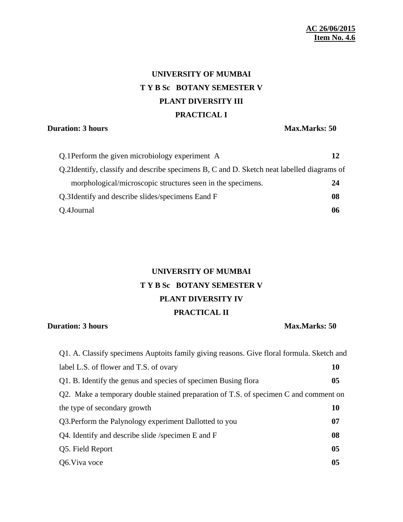# **UNIVERSITY OF MUMBAI T Y B Sc BOTANY SEMESTER V PLANT DIVERSITY III PRACTICAL I**

### **Duration: 3 hours Max.Marks: 50**

| Q.1 Perform the given microbiology experiment A                                           |    |
|-------------------------------------------------------------------------------------------|----|
| Q.2Identify, classify and describe specimens B, C and D. Sketch neat labelled diagrams of |    |
| morphological/microscopic structures seen in the specimens.                               | 24 |
| Q.3I dentify and describe slides/specimens Eand F                                         | 08 |
| Q.4Journal                                                                                | 06 |

## **UNIVERSITY OF MUMBAI T Y B Sc BOTANY SEMESTER V PLANT DIVERSITY IV PRACTICAL II**

### **Duration: 3 hours Max.Marks: 50**

| Q1. A. Classify specimens Auptoits family giving reasons. Give floral formula. Sketch and |                |
|-------------------------------------------------------------------------------------------|----------------|
| label L.S. of flower and T.S. of ovary                                                    | <b>10</b>      |
| Q1. B. Identify the genus and species of specimen Busing flora                            | 0 <sub>5</sub> |
| Q2. Make a temporary double stained preparation of T.S. of specimen C and comment on      |                |
| the type of secondary growth                                                              | <b>10</b>      |
| Q3. Perform the Palynology experiment Dallotted to you                                    | 07             |
| Q4. Identify and describe slide /specimen E and F                                         | 08             |
| Q5. Field Report                                                                          | 0 <sub>5</sub> |
| Q6. Viva voce                                                                             | 05             |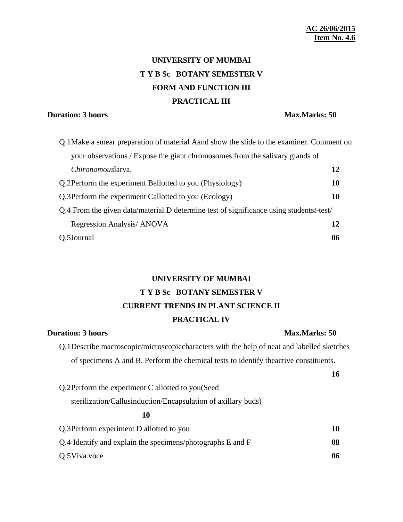# **UNIVERSITY OF MUMBAI T Y B Sc BOTANY SEMESTER V FORM AND FUNCTION III PRACTICAL III**

### **Duration: 3 hours Max.Marks: 50**

| Q.1 Make a smear preparation of material Aand show the slide to the examiner. Comment on         |    |
|--------------------------------------------------------------------------------------------------|----|
| your observations / Expose the giant chromosomes from the salivary glands of                     |    |
| Chironomouslarva.                                                                                | 12 |
| Q.2Perform the experiment Ballotted to you (Physiology)                                          | 10 |
| Q.3 Perform the experiment Callotted to you (Ecology)                                            | 10 |
| Q.4 From the given data/material D determine test of significance using students <i>t</i> -test/ |    |
| Regression Analysis/ ANOVA                                                                       | 12 |
| Q.5Journal                                                                                       | 06 |

## **UNIVERSITY OF MUMBAI T Y B Sc BOTANY SEMESTER V CURRENT TRENDS IN PLANT SCIENCE II PRACTICAL IV**

### **Duration: 3 hours Max.Marks: 50**

Q.1Describe macroscopic/microscopiccharacters with the help of neat and labelled sketches of specimens A and B. Perform the chemical tests to identify theactive constituents.

|                                                               | 16 |
|---------------------------------------------------------------|----|
| Q.2Perform the experiment C allotted to you (Seed             |    |
| sterilization/Callusinduction/Encapsulation of axillary buds) |    |
| 10                                                            |    |
| Q.3 Perform experiment D allotted to you                      | 10 |
| Q.4 Identify and explain the specimens/photographs E and F    | 08 |
| Q.5 Viva voce                                                 | 06 |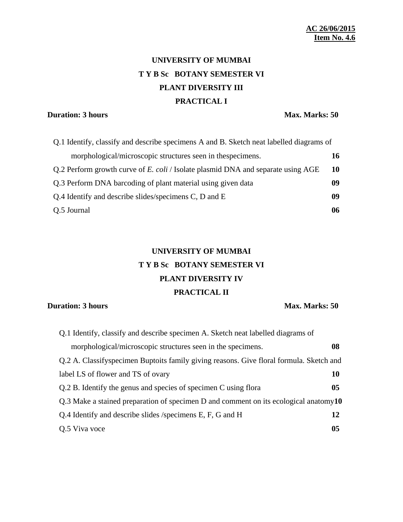# **UNIVERSITY OF MUMBAI T Y B Sc BOTANY SEMESTER VI PLANT DIVERSITY III PRACTICAL I**

## **Duration: 3 hours Max. Marks: 50**

| Q.1 Identify, classify and describe specimens A and B. Sketch neat labelled diagrams of |    |
|-----------------------------------------------------------------------------------------|----|
| morphological/microscopic structures seen in thespecimens.                              | 16 |
| Q.2 Perform growth curve of E. coli / Isolate plasmid DNA and separate using AGE        | 10 |
| Q.3 Perform DNA barcoding of plant material using given data                            | 09 |
| Q.4 Identify and describe slides/specimens C, D and E                                   | 09 |
| Q.5 Journal                                                                             | 06 |

## **UNIVERSITY OF MUMBAI T Y B Sc BOTANY SEMESTER VI PLANT DIVERSITY IV PRACTICAL II**

### **Duration: 3 hours Max. Marks: 50**

| Q.1 Identify, classify and describe specimen A. Sketch neat labelled diagrams of        |    |
|-----------------------------------------------------------------------------------------|----|
| morphological/microscopic structures seen in the specimens.                             | 08 |
| Q.2 A. Classifyspecimen Buptoits family giving reasons. Give floral formula. Sketch and |    |
| label LS of flower and TS of ovary                                                      | 10 |
| Q.2 B. Identify the genus and species of specimen C using flora                         | 05 |
| Q.3 Make a stained preparation of specimen D and comment on its ecological anatomy $10$ |    |
| Q.4 Identify and describe slides /specimens E, F, G and H                               | 12 |
| Q.5 Viva voce                                                                           | 05 |